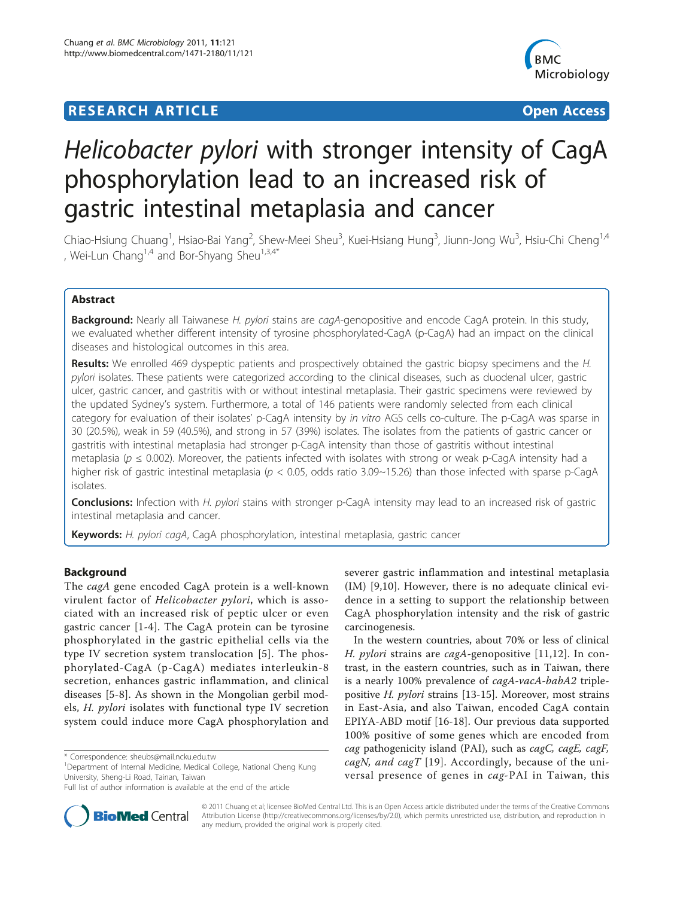## **RESEARCH ARTICLE Example 2018 CONSUMING ACCESS**



# Helicobacter pylori with stronger intensity of CagA phosphorylation lead to an increased risk of gastric intestinal metaplasia and cancer

Chiao-Hsiung Chuang<sup>1</sup>, Hsiao-Bai Yang<sup>2</sup>, Shew-Meei Sheu<sup>3</sup>, Kuei-Hsiang Hung<sup>3</sup>, Jiunn-Jong Wu<sup>3</sup>, Hsiu-Chi Cheng<sup>1,4</sup> , Wei-Lun Chang<sup>1,4</sup> and Bor-Shyang Sheu<sup>1,3,4\*</sup>

## Abstract

Background: Nearly all Taiwanese H. pylori stains are cagA-genopositive and encode CagA protein. In this study, we evaluated whether different intensity of tyrosine phosphorylated-CagA (p-CagA) had an impact on the clinical diseases and histological outcomes in this area.

Results: We enrolled 469 dyspeptic patients and prospectively obtained the gastric biopsy specimens and the H. pylori isolates. These patients were categorized according to the clinical diseases, such as duodenal ulcer, gastric ulcer, gastric cancer, and gastritis with or without intestinal metaplasia. Their gastric specimens were reviewed by the updated Sydney's system. Furthermore, a total of 146 patients were randomly selected from each clinical category for evaluation of their isolates' p-CagA intensity by in vitro AGS cells co-culture. The p-CagA was sparse in 30 (20.5%), weak in 59 (40.5%), and strong in 57 (39%) isolates. The isolates from the patients of gastric cancer or gastritis with intestinal metaplasia had stronger p-CagA intensity than those of gastritis without intestinal metaplasia ( $p \le 0.002$ ). Moreover, the patients infected with isolates with strong or weak p-CagA intensity had a higher risk of gastric intestinal metaplasia ( $p < 0.05$ , odds ratio 3.09~15.26) than those infected with sparse p-CagA isolates.

Conclusions: Infection with H. pylori stains with stronger p-CagA intensity may lead to an increased risk of gastric intestinal metaplasia and cancer.

Keywords: H. pylori cagA, CagA phosphorylation, intestinal metaplasia, gastric cancer

## Background

The cagA gene encoded CagA protein is a well-known virulent factor of Helicobacter pylori, which is associated with an increased risk of peptic ulcer or even gastric cancer [[1](#page-5-0)-[4\]](#page-5-0). The CagA protein can be tyrosine phosphorylated in the gastric epithelial cells via the type IV secretion system translocation [\[5\]](#page-5-0). The phosphorylated-CagA (p-CagA) mediates interleukin-8 secretion, enhances gastric inflammation, and clinical diseases [[5-](#page-5-0)[8](#page-6-0)]. As shown in the Mongolian gerbil models, H. pylori isolates with functional type IV secretion system could induce more CagA phosphorylation and

<sup>1</sup>Department of Internal Medicine, Medical College, National Cheng Kung University, Sheng-Li Road, Tainan, Taiwan

severer gastric inflammation and intestinal metaplasia (IM) [[9,10\]](#page-6-0). However, there is no adequate clinical evidence in a setting to support the relationship between CagA phosphorylation intensity and the risk of gastric carcinogenesis.

In the western countries, about 70% or less of clinical H. *pylori* strains are *cagA*-genopositive [[11,12](#page-6-0)]. In contrast, in the eastern countries, such as in Taiwan, there is a nearly 100% prevalence of cagA-vacA-babA2 triplepositive H. pylori strains [\[13](#page-6-0)-[15\]](#page-6-0). Moreover, most strains in East-Asia, and also Taiwan, encoded CagA contain EPIYA-ABD motif [\[16](#page-6-0)-[18\]](#page-6-0). Our previous data supported 100% positive of some genes which are encoded from cag pathogenicity island (PAI), such as cagC, cagE, cagF, cagN, and cagT [[19](#page-6-0)]. Accordingly, because of the universal presence of genes in cag-PAI in Taiwan, this



© 2011 Chuang et al; licensee BioMed Central Ltd. This is an Open Access article distributed under the terms of the Creative Commons Attribution License [\(http://creativecommons.org/licenses/by/2.0](http://creativecommons.org/licenses/by/2.0)), which permits unrestricted use, distribution, and reproduction in any medium, provided the original work is properly cited.

<sup>\*</sup> Correspondence: [sheubs@mail.ncku.edu.tw](mailto:sheubs@mail.ncku.edu.tw)

Full list of author information is available at the end of the article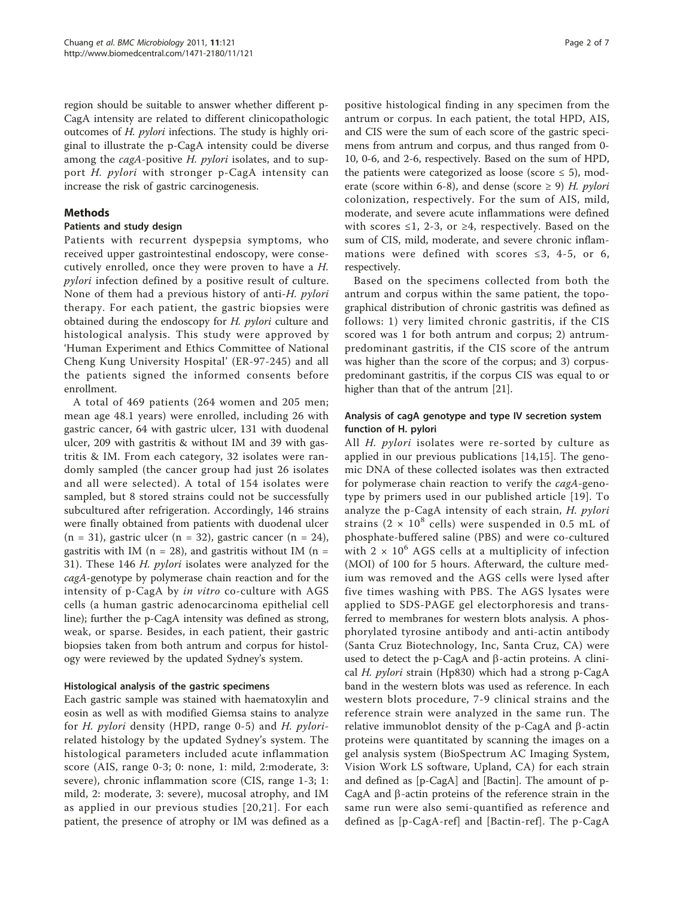region should be suitable to answer whether different p-CagA intensity are related to different clinicopathologic outcomes of H. pylori infections. The study is highly original to illustrate the p-CagA intensity could be diverse among the *cagA-positive H. pylori* isolates, and to support H. pylori with stronger p-CagA intensity can increase the risk of gastric carcinogenesis.

## Methods

## Patients and study design

Patients with recurrent dyspepsia symptoms, who received upper gastrointestinal endoscopy, were consecutively enrolled, once they were proven to have a H. pylori infection defined by a positive result of culture. None of them had a previous history of anti-H. pylori therapy. For each patient, the gastric biopsies were obtained during the endoscopy for H. *pylori* culture and histological analysis. This study were approved by 'Human Experiment and Ethics Committee of National Cheng Kung University Hospital' (ER-97-245) and all the patients signed the informed consents before enrollment.

A total of 469 patients (264 women and 205 men; mean age 48.1 years) were enrolled, including 26 with gastric cancer, 64 with gastric ulcer, 131 with duodenal ulcer, 209 with gastritis & without IM and 39 with gastritis & IM. From each category, 32 isolates were randomly sampled (the cancer group had just 26 isolates and all were selected). A total of 154 isolates were sampled, but 8 stored strains could not be successfully subcultured after refrigeration. Accordingly, 146 strains were finally obtained from patients with duodenal ulcer  $(n = 31)$ , gastric ulcer  $(n = 32)$ , gastric cancer  $(n = 24)$ , gastritis with IM ( $n = 28$ ), and gastritis without IM ( $n =$ 31). These 146 H. pylori isolates were analyzed for the cagA-genotype by polymerase chain reaction and for the intensity of p-CagA by in vitro co-culture with AGS cells (a human gastric adenocarcinoma epithelial cell line); further the p-CagA intensity was defined as strong, weak, or sparse. Besides, in each patient, their gastric biopsies taken from both antrum and corpus for histology were reviewed by the updated Sydney's system.

## Histological analysis of the gastric specimens

Each gastric sample was stained with haematoxylin and eosin as well as with modified Giemsa stains to analyze for *H. pylori* density (HPD, range  $0-5$ ) and *H. pylori*related histology by the updated Sydney's system. The histological parameters included acute inflammation score (AIS, range 0-3; 0: none, 1: mild, 2:moderate, 3: severe), chronic inflammation score (CIS, range 1-3; 1: mild, 2: moderate, 3: severe), mucosal atrophy, and IM as applied in our previous studies [[20,21\]](#page-6-0). For each patient, the presence of atrophy or IM was defined as a

positive histological finding in any specimen from the antrum or corpus. In each patient, the total HPD, AIS, and CIS were the sum of each score of the gastric specimens from antrum and corpus, and thus ranged from 0- 10, 0-6, and 2-6, respectively. Based on the sum of HPD, the patients were categorized as loose (score  $\leq$  5), moderate (score within 6-8), and dense (score  $\geq$  9) *H. pylori* colonization, respectively. For the sum of AIS, mild, moderate, and severe acute inflammations were defined with scores  $\leq 1$ , 2-3, or  $\geq 4$ , respectively. Based on the sum of CIS, mild, moderate, and severe chronic inflammations were defined with scores  $\leq 3$ , 4-5, or 6, respectively.

Based on the specimens collected from both the antrum and corpus within the same patient, the topographical distribution of chronic gastritis was defined as follows: 1) very limited chronic gastritis, if the CIS scored was 1 for both antrum and corpus; 2) antrumpredominant gastritis, if the CIS score of the antrum was higher than the score of the corpus; and 3) corpuspredominant gastritis, if the corpus CIS was equal to or higher than that of the antrum [\[21\]](#page-6-0).

## Analysis of cagA genotype and type IV secretion system function of H. pylori

All H. pylori isolates were re-sorted by culture as applied in our previous publications [[14,15](#page-6-0)]. The genomic DNA of these collected isolates was then extracted for polymerase chain reaction to verify the cagA-genotype by primers used in our published article [\[19](#page-6-0)]. To analyze the p-CagA intensity of each strain, H. pylori strains (2  $\times$  10<sup>8</sup> cells) were suspended in 0.5 mL of phosphate-buffered saline (PBS) and were co-cultured with  $2 \times 10^6$  AGS cells at a multiplicity of infection (MOI) of 100 for 5 hours. Afterward, the culture medium was removed and the AGS cells were lysed after five times washing with PBS. The AGS lysates were applied to SDS-PAGE gel electorphoresis and transferred to membranes for western blots analysis. A phosphorylated tyrosine antibody and anti-actin antibody (Santa Cruz Biotechnology, Inc, Santa Cruz, CA) were used to detect the p-CagA and  $\beta$ -actin proteins. A clinical H. pylori strain (Hp830) which had a strong p-CagA band in the western blots was used as reference. In each western blots procedure, 7-9 clinical strains and the reference strain were analyzed in the same run. The relative immunoblot density of the  $p$ -CagA and  $\beta$ -actin proteins were quantitated by scanning the images on a gel analysis system (BioSpectrum AC Imaging System, Vision Work LS software, Upland, CA) for each strain and defined as [p-CagA] and [Bactin]. The amount of p-CagA and  $\beta$ -actin proteins of the reference strain in the same run were also semi-quantified as reference and defined as [p-CagA-ref] and [Bactin-ref]. The p-CagA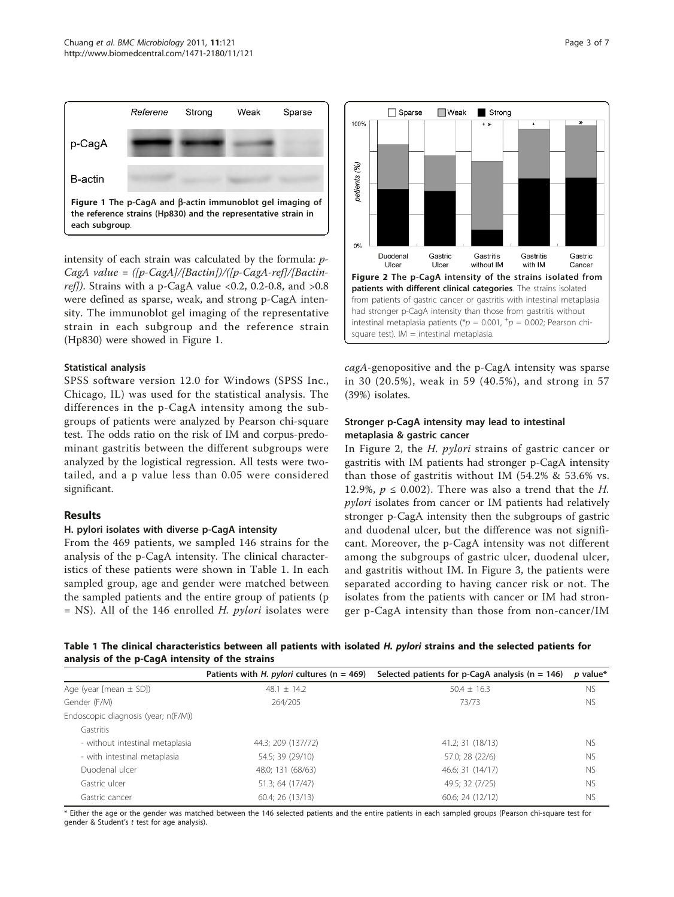<span id="page-2-0"></span>

Figure 1 The p-CagA and  $\beta$ -actin immunoblot gel imaging of the reference strains (Hp830) and the representative strain in each subgroup.

intensity of each strain was calculated by the formula: p-CagA value = ([p-CagA]/[Bactin])/([p-CagA-ref]/[Bactinref]). Strains with a p-CagA value <0.2, 0.2-0.8, and  $>0.8$ were defined as sparse, weak, and strong p-CagA intensity. The immunoblot gel imaging of the representative strain in each subgroup and the reference strain (Hp830) were showed in Figure 1.

#### Statistical analysis

p-CagA

B-actin

SPSS software version 12.0 for Windows (SPSS Inc., Chicago, IL) was used for the statistical analysis. The differences in the p-CagA intensity among the subgroups of patients were analyzed by Pearson chi-square test. The odds ratio on the risk of IM and corpus-predominant gastritis between the different subgroups were analyzed by the logistical regression. All tests were twotailed, and a p value less than 0.05 were considered significant.

#### Results

#### H. pylori isolates with diverse p-CagA intensity

From the 469 patients, we sampled 146 strains for the analysis of the p-CagA intensity. The clinical characteristics of these patients were shown in Table 1. In each sampled group, age and gender were matched between the sampled patients and the entire group of patients (p  $=$  NS). All of the 146 enrolled *H. pylori* isolates were



cagA-genopositive and the p-CagA intensity was sparse in 30 (20.5%), weak in 59 (40.5%), and strong in 57 (39%) isolates.

#### Stronger p-CagA intensity may lead to intestinal metaplasia & gastric cancer

In Figure 2, the *H. pylori* strains of gastric cancer or gastritis with IM patients had stronger p-CagA intensity than those of gastritis without IM (54.2% & 53.6% vs. 12.9%,  $p \le 0.002$ ). There was also a trend that the H. pylori isolates from cancer or IM patients had relatively stronger p-CagA intensity then the subgroups of gastric and duodenal ulcer, but the difference was not significant. Moreover, the p-CagA intensity was not different among the subgroups of gastric ulcer, duodenal ulcer, and gastritis without IM. In Figure [3](#page-3-0), the patients were separated according to having cancer risk or not. The isolates from the patients with cancer or IM had stronger p-CagA intensity than those from non-cancer/IM

Table 1 The clinical characteristics between all patients with isolated H. pylori strains and the selected patients for analysis of the p-CagA intensity of the strains

|                                     | Patients with H. pylori cultures ( $n = 469$ ) | Selected patients for p-CagA analysis ( $n = 146$ ) | $p$ value* |
|-------------------------------------|------------------------------------------------|-----------------------------------------------------|------------|
| Age (year [mean $\pm$ SD])          | 48.1 $\pm$ 14.2                                | $50.4 \pm 16.3$                                     | <b>NS</b>  |
| Gender (F/M)                        | 264/205                                        | 73/73                                               | <b>NS</b>  |
| Endoscopic diagnosis (year; n(F/M)) |                                                |                                                     |            |
| Gastritis                           |                                                |                                                     |            |
| - without intestinal metaplasia     | 44.3; 209 (137/72)                             | 41.2; 31 (18/13)                                    | <b>NS</b>  |
| - with intestinal metaplasia        | 54.5; 39 (29/10)                               | 57.0; 28 (22/6)                                     | <b>NS</b>  |
| Duodenal ulcer                      | 48.0; 131 (68/63)                              | 46.6; 31 (14/17)                                    | <b>NS</b>  |
| Gastric ulcer                       | 51.3; 64 (17/47)                               | 49.5; 32 (7/25)                                     | <b>NS</b>  |
| Gastric cancer                      | 60.4; 26 (13/13)                               | 60.6; 24 (12/12)                                    | <b>NS</b>  |
|                                     |                                                |                                                     |            |

\* Either the age or the gender was matched between the 146 selected patients and the entire patients in each sampled groups (Pearson chi-square test for gender & Student'<sup>s</sup> t test for age analysis).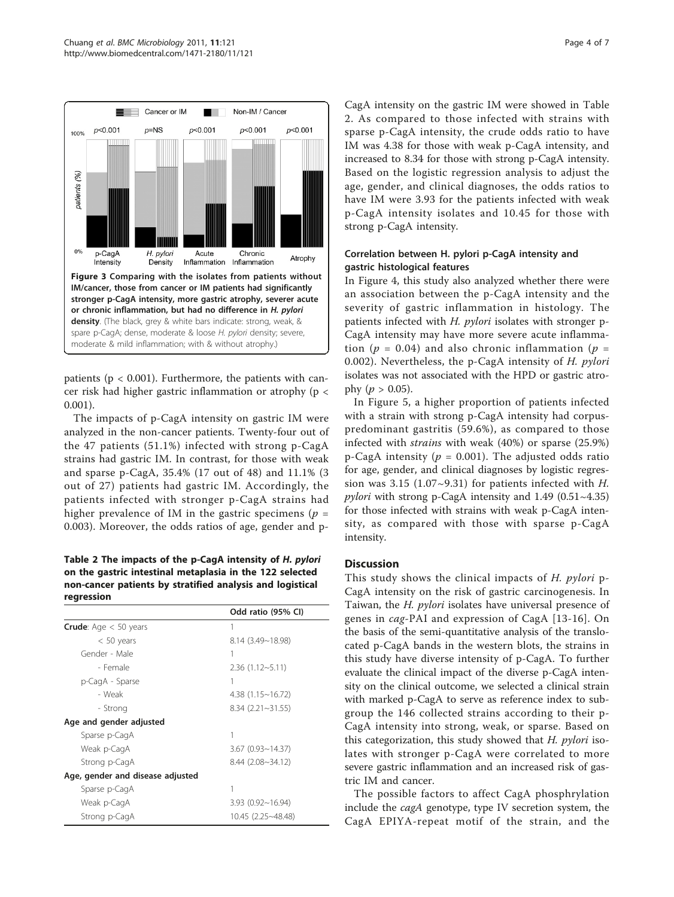<span id="page-3-0"></span>

patients ( $p < 0.001$ ). Furthermore, the patients with cancer risk had higher gastric inflammation or atrophy (p < 0.001).

The impacts of p-CagA intensity on gastric IM were analyzed in the non-cancer patients. Twenty-four out of the 47 patients (51.1%) infected with strong p-CagA strains had gastric IM. In contrast, for those with weak and sparse p-CagA, 35.4% (17 out of 48) and 11.1% (3 out of 27) patients had gastric IM. Accordingly, the patients infected with stronger p-CagA strains had higher prevalence of IM in the gastric specimens ( $p =$ 0.003). Moreover, the odds ratios of age, gender and p-

Table 2 The impacts of the p-CagA intensity of H. pylori on the gastric intestinal metaplasia in the 122 selected non-cancer patients by stratified analysis and logistical regression

|                                  | Odd ratio (95% CI)        |
|----------------------------------|---------------------------|
| <b>Crude:</b> Age $<$ 50 years   | 1                         |
| $< 50$ years                     | 8.14(3.49~18.98)          |
| Gender - Male                    |                           |
| - Female                         | $2.36(1.12-5.11)$         |
| p-CagA - Sparse                  | 1                         |
| - Weak                           | $4.38(1.15 \times 16.72)$ |
| - Strona                         | $8.34(2.21 \times 31.55)$ |
| Age and gender adjusted          |                           |
| Sparse p-CagA                    | 1                         |
| Weak p-CagA                      | $3.67(0.93 \sim 14.37)$   |
| Strong p-CagA                    | 8.44(2.08~34.12)          |
| Age, gender and disease adjusted |                           |
| Sparse p-CagA                    | 1                         |
| Weak p-CagA                      | $3.93(0.92 \sim 16.94)$   |
| Strong p-CagA                    | 10.45 (2.25~48.48)        |

CagA intensity on the gastric IM were showed in Table 2. As compared to those infected with strains with sparse p-CagA intensity, the crude odds ratio to have IM was 4.38 for those with weak p-CagA intensity, and increased to 8.34 for those with strong p-CagA intensity. Based on the logistic regression analysis to adjust the age, gender, and clinical diagnoses, the odds ratios to have IM were 3.93 for the patients infected with weak p-CagA intensity isolates and 10.45 for those with strong p-CagA intensity.

## Correlation between H. pylori p-CagA intensity and gastric histological features

In Figure [4,](#page-4-0) this study also analyzed whether there were an association between the p-CagA intensity and the severity of gastric inflammation in histology. The patients infected with H. pylori isolates with stronger p-CagA intensity may have more severe acute inflammation ( $p = 0.04$ ) and also chronic inflammation ( $p =$ 0.002). Nevertheless, the p-CagA intensity of H. pylori isolates was not associated with the HPD or gastric atrophy ( $p > 0.05$ ).

In Figure [5,](#page-4-0) a higher proportion of patients infected with a strain with strong p-CagA intensity had corpuspredominant gastritis (59.6%), as compared to those infected with strains with weak (40%) or sparse (25.9%) p-CagA intensity ( $p = 0.001$ ). The adjusted odds ratio for age, gender, and clinical diagnoses by logistic regression was 3.15 (1.07~9.31) for patients infected with  $H$ . *pylori* with strong p-CagA intensity and  $1.49$  (0.51~4.35) for those infected with strains with weak p-CagA intensity, as compared with those with sparse p-CagA intensity.

### **Discussion**

This study shows the clinical impacts of H. pylori p-CagA intensity on the risk of gastric carcinogenesis. In Taiwan, the H. pylori isolates have universal presence of genes in cag-PAI and expression of CagA [[13-16](#page-6-0)]. On the basis of the semi-quantitative analysis of the translocated p-CagA bands in the western blots, the strains in this study have diverse intensity of p-CagA. To further evaluate the clinical impact of the diverse p-CagA intensity on the clinical outcome, we selected a clinical strain with marked p-CagA to serve as reference index to subgroup the 146 collected strains according to their p-CagA intensity into strong, weak, or sparse. Based on this categorization, this study showed that  $H$ . *pylori* isolates with stronger p-CagA were correlated to more severe gastric inflammation and an increased risk of gastric IM and cancer.

The possible factors to affect CagA phosphrylation include the cagA genotype, type IV secretion system, the CagA EPIYA-repeat motif of the strain, and the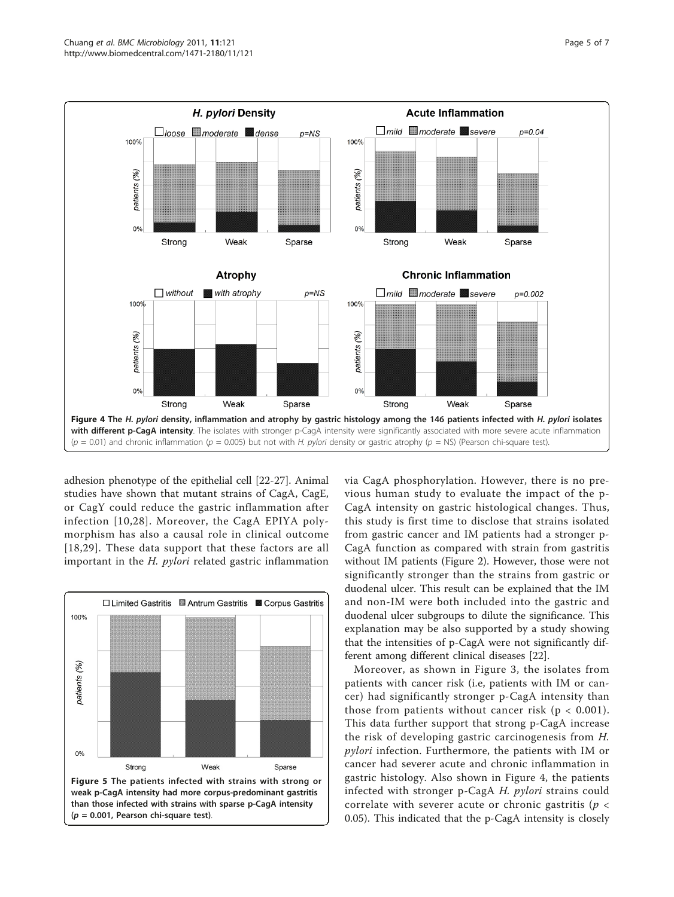<span id="page-4-0"></span>

adhesion phenotype of the epithelial cell [\[22-27](#page-6-0)]. Animal studies have shown that mutant strains of CagA, CagE, or CagY could reduce the gastric inflammation after infection [[10,28](#page-6-0)]. Moreover, the CagA EPIYA polymorphism has also a causal role in clinical outcome [[18,29\]](#page-6-0). These data support that these factors are all important in the H. pylori related gastric inflammation



via CagA phosphorylation. However, there is no previous human study to evaluate the impact of the p-CagA intensity on gastric histological changes. Thus, this study is first time to disclose that strains isolated from gastric cancer and IM patients had a stronger p-CagA function as compared with strain from gastritis without IM patients (Figure [2](#page-2-0)). However, those were not significantly stronger than the strains from gastric or duodenal ulcer. This result can be explained that the IM and non-IM were both included into the gastric and duodenal ulcer subgroups to dilute the significance. This explanation may be also supported by a study showing that the intensities of p-CagA were not significantly different among different clinical diseases [[22\]](#page-6-0).

Moreover, as shown in Figure [3,](#page-3-0) the isolates from patients with cancer risk (i.e, patients with IM or cancer) had significantly stronger p-CagA intensity than those from patients without cancer risk ( $p < 0.001$ ). This data further support that strong p-CagA increase the risk of developing gastric carcinogenesis from H. pylori infection. Furthermore, the patients with IM or cancer had severer acute and chronic inflammation in gastric histology. Also shown in Figure 4, the patients infected with stronger p-CagA H. pylori strains could correlate with severer acute or chronic gastritis ( $p <$ 0.05). This indicated that the p-CagA intensity is closely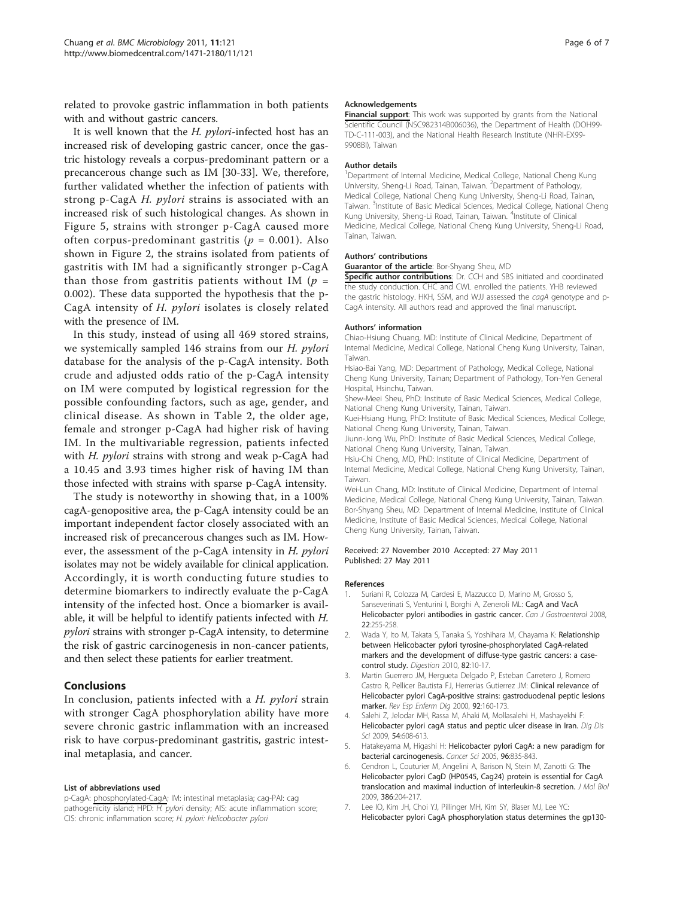<span id="page-5-0"></span>related to provoke gastric inflammation in both patients with and without gastric cancers.

It is well known that the H. pylori-infected host has an increased risk of developing gastric cancer, once the gastric histology reveals a corpus-predominant pattern or a precancerous change such as IM [\[30](#page-6-0)-[33\]](#page-6-0). We, therefore, further validated whether the infection of patients with strong p-CagA H. pylori strains is associated with an increased risk of such histological changes. As shown in Figure [5,](#page-4-0) strains with stronger p-CagA caused more often corpus-predominant gastritis ( $p = 0.001$ ). Also shown in Figure [2,](#page-2-0) the strains isolated from patients of gastritis with IM had a significantly stronger p-CagA than those from gastritis patients without IM  $(p =$ 0.002). These data supported the hypothesis that the p-CagA intensity of H. pylori isolates is closely related with the presence of IM.

In this study, instead of using all 469 stored strains, we systemically sampled 146 strains from our H. pylori database for the analysis of the p-CagA intensity. Both crude and adjusted odds ratio of the p-CagA intensity on IM were computed by logistical regression for the possible confounding factors, such as age, gender, and clinical disease. As shown in Table [2](#page-3-0), the older age, female and stronger p-CagA had higher risk of having IM. In the multivariable regression, patients infected with H. pylori strains with strong and weak p-CagA had a 10.45 and 3.93 times higher risk of having IM than those infected with strains with sparse p-CagA intensity.

The study is noteworthy in showing that, in a 100% cagA-genopositive area, the p-CagA intensity could be an important independent factor closely associated with an increased risk of precancerous changes such as IM. However, the assessment of the p-CagA intensity in H. pylori isolates may not be widely available for clinical application. Accordingly, it is worth conducting future studies to determine biomarkers to indirectly evaluate the p-CagA intensity of the infected host. Once a biomarker is available, it will be helpful to identify patients infected with H. pylori strains with stronger p-CagA intensity, to determine the risk of gastric carcinogenesis in non-cancer patients, and then select these patients for earlier treatment.

#### **Conclusions**

In conclusion, patients infected with a H. pylori strain with stronger CagA phosphorylation ability have more severe chronic gastric inflammation with an increased risk to have corpus-predominant gastritis, gastric intestinal metaplasia, and cancer.

#### List of abbreviations used

p-CagA: phosphorylated-CagA; IM: intestinal metaplasia; cag-PAI: cag pathogenicity island; HPD: H. pylori density; AIS: acute inflammation score; CIS: chronic inflammation score; H. pylori: Helicobacter pylori

#### Acknowledgements

Financial support: This work was supported by grants from the National Scientific Council (NSC982314B006036), the Department of Health (DOH99- TD-C-111-003), and the National Health Research Institute (NHRI-EX99- 9908BI), Taiwan

#### Author details

<sup>1</sup>Department of Internal Medicine, Medical College, National Cheng Kung University, Sheng-Li Road, Tainan, Taiwan. <sup>2</sup>Department of Pathology, Medical College, National Cheng Kung University, Sheng-Li Road, Tainan, Taiwan. <sup>3</sup>Institute of Basic Medical Sciences, Medical College, National Cheng Kung University, Sheng-Li Road, Tainan, Taiwan. <sup>4</sup>Institute of Clinical Medicine, Medical College, National Cheng Kung University, Sheng-Li Road, Tainan, Taiwan.

#### Authors' contributions

Guarantor of the article: Bor-Shyang Sheu, MD

Specific author contributions: Dr. CCH and SBS initiated and coordinated the study conduction. CHC and CWL enrolled the patients. YHB reviewed the gastric histology. HKH, SSM, and WJJ assessed the cagA genotype and p-CagA intensity. All authors read and approved the final manuscript.

#### Authors' information

Chiao-Hsiung Chuang, MD: Institute of Clinical Medicine, Department of Internal Medicine, Medical College, National Cheng Kung University, Tainan, Taiwan.

Hsiao-Bai Yang, MD: Department of Pathology, Medical College, National Cheng Kung University, Tainan; Department of Pathology, Ton-Yen General Hospital, Hsinchu, Taiwan.

Shew-Meei Sheu, PhD: Institute of Basic Medical Sciences, Medical College, National Cheng Kung University, Tainan, Taiwan.

Kuei-Hsiang Hung, PhD: Institute of Basic Medical Sciences, Medical College, National Cheng Kung University, Tainan, Taiwan.

Jiunn-Jong Wu, PhD: Institute of Basic Medical Sciences, Medical College, National Cheng Kung University, Tainan, Taiwan.

Hsiu-Chi Cheng, MD, PhD: Institute of Clinical Medicine, Department of Internal Medicine, Medical College, National Cheng Kung University, Tainan, Taiwan.

Wei-Lun Chang, MD: Institute of Clinical Medicine, Department of Internal Medicine, Medical College, National Cheng Kung University, Tainan, Taiwan. Bor-Shyang Sheu, MD: Department of Internal Medicine, Institute of Clinical Medicine, Institute of Basic Medical Sciences, Medical College, National Cheng Kung University, Tainan, Taiwan.

#### Received: 27 November 2010 Accepted: 27 May 2011 Published: 27 May 2011

#### References

- Suriani R, Colozza M, Cardesi E, Mazzucco D, Marino M, Grosso S, Sanseverinati S, Venturini I, Borghi A, Zeneroli ML: [CagA and VacA](http://www.ncbi.nlm.nih.gov/pubmed/18354754?dopt=Abstract) [Helicobacter pylori antibodies in gastric cancer.](http://www.ncbi.nlm.nih.gov/pubmed/18354754?dopt=Abstract) Can J Gastroenterol 2008, 22:255-258.
- 2. Wada Y, Ito M, Takata S, Tanaka S, Yoshihara M, Chayama K: [Relationship](http://www.ncbi.nlm.nih.gov/pubmed/20145403?dopt=Abstract) [between Helicobacter pylori tyrosine-phosphorylated CagA-related](http://www.ncbi.nlm.nih.gov/pubmed/20145403?dopt=Abstract) [markers and the development of diffuse-type gastric cancers: a case](http://www.ncbi.nlm.nih.gov/pubmed/20145403?dopt=Abstract)[control study.](http://www.ncbi.nlm.nih.gov/pubmed/20145403?dopt=Abstract) Digestion 2010, 82:10-17.
- 3. Martin Guerrero JM, Hergueta Delgado P, Esteban Carretero J, Romero Castro R, Pellicer Bautista FJ, Herrerias Gutierrez JM: [Clinical relevance of](http://www.ncbi.nlm.nih.gov/pubmed/10799946?dopt=Abstract) [Helicobacter pylori CagA-positive strains: gastroduodenal peptic lesions](http://www.ncbi.nlm.nih.gov/pubmed/10799946?dopt=Abstract) [marker.](http://www.ncbi.nlm.nih.gov/pubmed/10799946?dopt=Abstract) Rev Esp Enferm Dig 2000, 92:160-173.
- 4. Salehi Z, Jelodar MH, Rassa M, Ahaki M, Mollasalehi H, Mashayekhi F: [Helicobacter pylori cagA status and peptic ulcer disease in Iran.](http://www.ncbi.nlm.nih.gov/pubmed/18612816?dopt=Abstract) Dig Dis Sci 2009, 54:608-613.
- 5. Hatakeyama M, Higashi H: [Helicobacter pylori CagA: a new paradigm for](http://www.ncbi.nlm.nih.gov/pubmed/16367902?dopt=Abstract) [bacterial carcinogenesis.](http://www.ncbi.nlm.nih.gov/pubmed/16367902?dopt=Abstract) Cancer Sci 2005, 96:835-843.
- 6. Cendron L, Couturier M, Angelini A, Barison N, Stein M, Zanotti G: [The](http://www.ncbi.nlm.nih.gov/pubmed/19109970?dopt=Abstract) [Helicobacter pylori CagD \(HP0545, Cag24\) protein is essential for CagA](http://www.ncbi.nlm.nih.gov/pubmed/19109970?dopt=Abstract) [translocation and maximal induction of interleukin-8 secretion.](http://www.ncbi.nlm.nih.gov/pubmed/19109970?dopt=Abstract) J Mol Biol 2009, 386:204-217.
- 7. Lee IO, Kim JH, Choi YJ, Pillinger MH, Kim SY, Blaser MJ, Lee YC: [Helicobacter pylori CagA phosphorylation status determines the gp130-](http://www.ncbi.nlm.nih.gov/pubmed/20348091?dopt=Abstract)